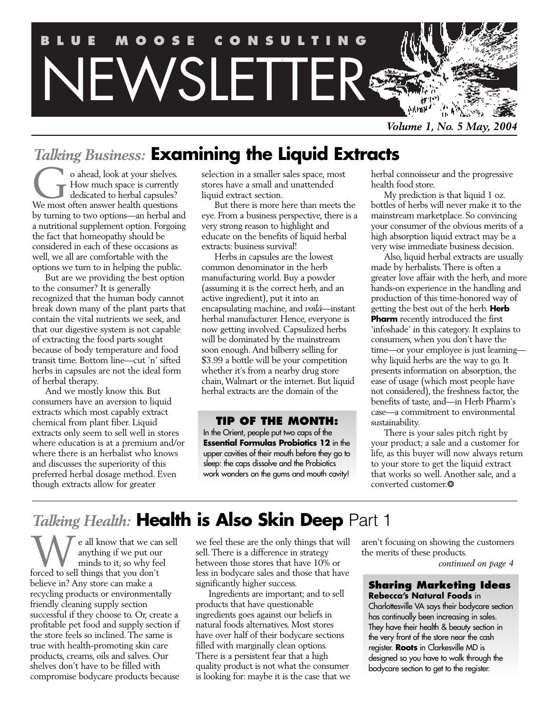

*Volume 1, No. 5 May, 2004*

# *Talking Business:* **Examining the Liquid Extracts**

o ahead, look at your shelves. How much space is currently dedicated to herbal capsules? o ahead, look at your shelves.<br>How much space is currently<br>dedicated to herbal capsules?<br>We most often answer health questions by turning to two options—an herbal and a nutritional supplement option. Forgoing the fact that homeopathy should be considered in each of these occasions as well, we all are comfortable with the options we turn to in helping the public.

But are we providing the best option to the consumer? It is generally recognized that the human body cannot break down many of the plant parts that contain the vital nutrients we seek, and that our digestive system is not capable of extracting the food parts sought because of body temperature and food transit time. Bottom line—cut 'n' sifted herbs in capsules are not the ideal form of herbal therapy.

And we mostly know this. But consumers have an aversion to liquid extracts which most capably extract chemical from plant fiber. Liquid extracts only seem to sell well in stores where education is at a premium and/or where there is an herbalist who knows and discusses the superiority of this preferred herbal dosage method. Even though extracts allow for greater

selection in a smaller sales space, most stores have a small and unattended liquid extract section.

But there is more here than meets the eye. From a business perspective, there is a very strong reason to highlight and educate on the benefits of liquid herbal extracts: business survival!

Herbs in capsules are the lowest common denominator in the herb manufacturing world. Buy a powder (assuming it is the correct herb, and an active ingredient), put it into an encapsulating machine, and *voilá*—instant herbal manufacturer. Hence, everyone is now getting involved. Capsulized herbs will be dominated by the mainstream soon enough. And bilberry selling for \$3.99 a bottle will be your competition whether it's from a nearby drug store chain, Walmart or the internet. But liquid herbal extracts are the domain of the

## **TIP OF THE MONTH:**

In the Orient, people put two caps of the **Essential Formulas Probiotics 12** in the upper cavities of their mouth before they go to sleep: the caps dissolve and the Probiotics work wonders on the gums and mouth cavity!

herbal connoisseur and the progressive health food store.

My prediction is that liquid 1 oz. bottles of herbs will never make it to the mainstream marketplace. So convincing your consumer of the obvious merits of a high absorption liquid extract may be a very wise immediate business decision.

Also, liquid herbal extracts are usually made by herbalists. There is often a greater love affair with the herb, and more hands-on experience in the handling and production of this time-honored way of getting the best out of the herb. **Herb Pharm** recently introduced the first 'infoshade' in this category. It explains to consumers, when you don't have the time—or your employee is just learning why liquid herbs are the way to go. It presents information on absorption, the ease of usage (which most people have not considered), the freshness factor, the benefits of taste, and—in Herb Pharm's case—a commitment to environmental sustainability.

There is your sales pitch right by your product; a sale and a customer for life, as this buyer will now always return to your store to get the liquid extract that works so well. Another sale, and a converted customer.❂

# *Talking Health:* **Health is Also Skin Deep** Part 1

I e all know that we can sell anything if we put our minds to it, so why feel forced to sell things that you don't believe in? Any store can make a recycling products or environmentally friendly cleaning supply section successful if they choose to. Or, create a profitable pet food and supply section if the store feels so inclined. The same is true with health-promoting skin care products, creams, oils and salves. Our shelves don't have to be filled with compromise bodycare products because The all know that we can sell we feel these are the only things that will aren't focusing on showing the customers<br>anything if we put our sell. There is a difference in strategy<br>forced to sell things that you don't less in

we feel these are the only things that will sell. There is a difference in strategy between those stores that have 10% or less in bodycare sales and those that have significantly higher success.

Ingredients are important; and to sell products that have questionable ingredients goes against our beliefs in natural foods alternatives. Most stores have over half of their bodycare sections filled with marginally clean options. There is a persistent fear that a high quality product is not what the consumer is looking for: maybe it is the case that we aren't focusing on showing the customers

#### **Sharing Marketing Ideas Rebecca's Natural Foods** in

Charlottesville VA says their bodycare section has continually been increasing in sales. They have their health & beauty section in the very front of the store near the cash register. **Roots** in Clarkesville MD is designed so you have to walk through the bodycare section to get to the register.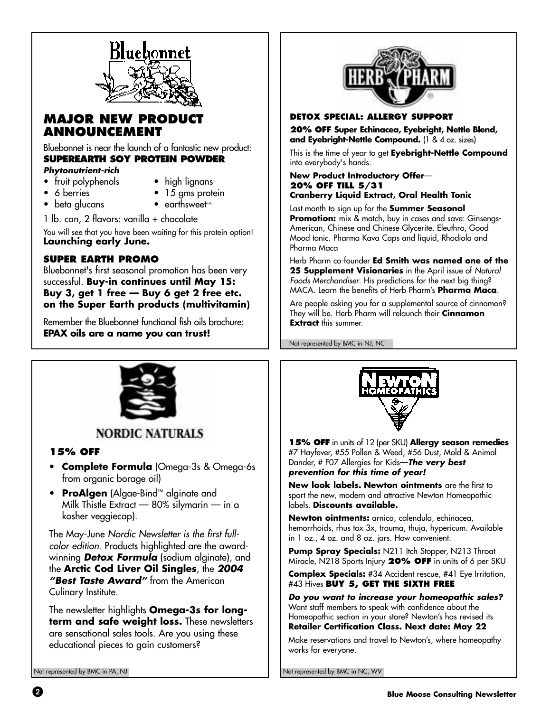

## **MAJOR NEW PRODUCT ANNOUNCEMENT**

Bluebonnet is near the launch of a fantastic new product: **SUPEREARTH SOY PROTEIN POWDER**

#### **Phytonutrient-rich**

- fruit polyphenols high lignans
	-
- 
- 6 berries 15 gms protein
- beta glucans earthsweet<sup>\*</sup>
- 1 lb. can, 2 flavors: vanilla + chocolate

You will see that you have been waiting for this protein option! **Launching early June.**

## **SUPER EARTH PROMO**

Bluebonnet's first seasonal promotion has been very successful. **Buy-in continues until May 15: Buy 3, get 1 free — Buy 6 get 2 free etc. on the Super Earth products (multivitamin)**

Remember the Bluebonnet functional fish oils brochure: **EPAX oils are a name you can trust!**



#### **DETOX SPECIAL: ALLERGY SUPPORT**

**20% OFF Super Echinacea, Eyebright, Nettle Blend, and Eyebright-Nettle Compound.** (1 & 4 oz. sizes)

This is the time of year to get **Eyebright-Nettle Compound** into everybody's hands.

#### **New Product Introductory Offer**— **20% OFF TILL 5/31 Cranberry Liquid Extract, Oral Health Tonic**

Last month to sign up for the **Summer Seasonal Promotion:** mix & match, buy in cases and save: Ginsengs-American, Chinese and Chinese Glycerite. Eleuthro, Good Mood tonic. Pharma Kava Caps and liquid, Rhodiola and Pharma Maca

Herb Pharm co-founder **Ed Smith was named one of the 25 Supplement Visionaries** in the April issue of Natural Foods Merchandiser. His predictions for the next big thing? MACA. Learn the benefits of Herb Pharm's **Pharma Maca**.

Are people asking you for a supplemental source of cinnamon? They will be. Herb Pharm will relaunch their **Cinnamon Extract** this summer.

Not represented by BMC in NJ, NC



## **NORDIC NATURALS**

#### **15% OFF**

- **Complete Formula** (Omega-3s & Omega-6s from organic borage oil)
- **ProAlgen** (Algae-Bind<sup>™</sup> alginate and Milk Thistle Extract — 80% silymarin — in a kosher veggiecap).

The May-June Nordic Newsletter is the first fullcolor edition. Products highlighted are the awardwinning **Detox Formula** (sodium alginate), and the **Arctic Cod Liver Oil Singles**, the **2004 "Best Taste Award"** from the American Culinary Institute.

The newsletter highlights **Omega-3s for long**term and safe weight loss. These newsletters are sensational sales tools. Are you using these educational pieces to gain customers?



**15% OFF** in units of 12 (per SKU) **Allergy season remedies** #7 Hayfever, #55 Pollen & Weed, #56 Dust, Mold & Animal Dander, # F07 Allergies for Kids—**The very best prevention for this time of year!**

**New look labels. Newton ointments** are the first to sport the new, modern and attractive Newton Homeopathic labels. **Discounts available.**

**Newton ointments:** arnica, calendula, echinacea, hemorrhoids, rhus tox 3x, trauma, thuja, hypericum. Available in 1 oz., 4 oz. and 8 oz. jars. How convenient.

Pump Spray Specials: N211 Itch Stopper, N213 Throat Miracle, N218 Sports Injury **20% OFF** in units of 6 per SKU

**Complex Specials:** #34 Accident rescue, #41 Eye Irritation, #43 Hives **BUY 5, GET THE SIXTH FREE**

**Do you want to increase your homeopathic sales?** Want staff members to speak with confidence about the Homeopathic section in your store? Newton's has revised its **Retailer Certification Class. Next date: May 22**

Make reservations and travel to Newton's, where homeopathy works for everyone.

Not represented by BMC in PA, NJ Not represented by BMC in NC, WV

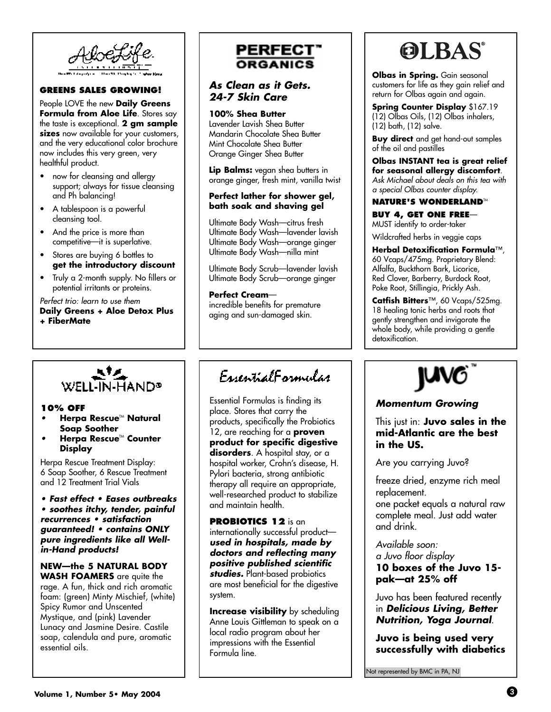

#### **GREENS SALES GROWING!**

People LOVE the new **Daily Greens Formula from Aloe Life**. Stores say the taste is exceptional. **2 gm sample sizes** now available for your customers, and the very educational color brochure now includes this very green, very healthful product.

- now for cleansing and allergy support; always for tissue cleansing and Ph balancing!
- A tablespoon is a powerful cleansing tool.
- And the price is more than competitive—it is superlative.
- Stores are buying 6 bottles to **get the introductory discount**
- Truly a 2-month supply. No fillers or potential irritants or proteins.

**Herpa Rescue<sup>™</sup> Natural** 

WELL-IN-HAND®

**Herpa Rescue™ Counter** 

**• Fast effect • Eases outbreaks • soothes itchy, tender, painful recurrences • satisfaction guaranteed! • contains ONLY pure ingredients like all Well-**

**NEW—the 5 NATURAL BODY WASH FOAMERS** are quite the rage. A fun, thick and rich aromatic foam: (green) Minty Mischief, (white)

Spicy Rumor and Unscented Mystique, and (pink) Lavender Lunacy and Jasmine Desire. Castile soap, calendula and pure, aromatic

**Soap Soother**

Herpa Rescue Treatment Display: 6 Soap Soother, 6 Rescue Treatment and 12 Treatment Trial Vials

**Display**

**in-Hand products!**

essential oils.

#### Perfect trio: learn to use them **Daily Greens + Aloe Detox Plus + FiberMate**

**10% OFF**

## **PERFECT** ORGANICS

#### **As Clean as it Gets. 24-7 Skin Care**

#### **100% Shea Butter**

Lavender Lavish Shea Butter Mandarin Chocolate Shea Butter Mint Chocolate Shea Butter Orange Ginger Shea Butter

**Lip Balms:** vegan shea butters in orange ginger, fresh mint, vanilla twist

#### **Perfect lather for shower gel, bath soak and shaving gel**

Ultimate Body Wash—citrus fresh Ultimate Body Wash—lavender lavish Ultimate Body Wash—orange ginger Ultimate Body Wash—nilla mint

Ultimate Body Scrub—lavender lavish Ultimate Body Scrub—orange ginger

**Perfect Cream** incredible benefits for premature aging and sun-damaged skin.

## EugentialEgymular

Essential Formulas is finding its place. Stores that carry the products, specifically the Probiotics 12, are reaching for a **proven product for specific digestive disorders**. A hospital stay, or a hospital worker, Crohn's disease, H. Pylori bacteria, strong antibiotic therapy all require an appropriate, well-researched product to stabilize and maintain health.

**PROBIOTICS 12** is an internationally successful product **used in hospitals, made by doctors and reflecting many positive published scientific studies.** Plant-based probiotics are most beneficial for the digestive system.

**Increase visibility** by scheduling Anne Louis Gittleman to speak on a local radio program about her impressions with the Essential Formula line.

# **OLBAS®**

**Olbas in Spring.** Gain seasonal customers for life as they gain relief and return for Olbas again and again.

**Spring Counter Display** \$167.19 (12) Olbas Oils, (12) Olbas inhalers, (12) bath, (12) salve.

**Buy direct** and get hand-out samples of the oil and pastilles

**Olbas INSTANT tea is great relief for seasonal allergy discomfort**. Ask Michael about deals on this tea with a special Olbas counter display.

#### **NATURE'S WONDERLAND™**

**BUY 4, GET ONE FREE**— MUST identify to order-taker

Wildcrafted herbs in veggie caps

**Herbal Detoxification Formula**™, 60 Vcaps/475mg. Proprietary Blend: Alfalfa, Buckthorn Bark, Licorice, Red Clover, Barberry, Burdock Root, Poke Root, Stillingia, Prickly Ash.

**Catfish Bitters**™, 60 Vcaps/525mg. 18 healing tonic herbs and roots that gently strengthen and invigorate the whole body, while providing a gentle detoxification.



#### **Momentum Growing**

This just in: **Juvo sales in the mid-Atlantic are the best in the US.**

Are you carrying Juvo?

freeze dried, enzyme rich meal replacement. one packet equals a natural raw

complete meal. Just add water and drink.

Available soon: a Juvo floor display **10 boxes of the Juvo 15 pak—at 25% off**

Juvo has been featured recently in **Delicious Living, Better Nutrition, Yoga Journal**.

**Juvo is being used very successfully with diabetics**

Not represented by BMC in PA, NJ